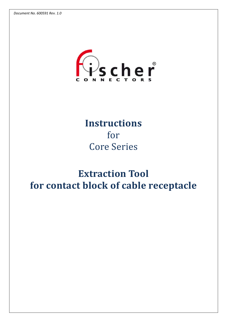

## **Instructions** for **Core Series**

# **Extraction Tool for contact block of cable receptacle**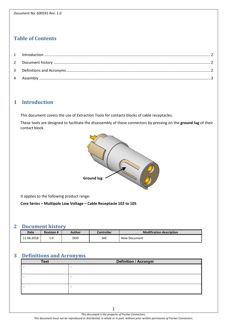## **Table of Contents**

### **1 Introduction**

This document covers the use of Extraction Tools for contacts blocks of cable receptacles.

These tools are designed to facilitate the disassembly of these connectors by pressing on the **ground lug** of their contact block.



It applies to the following product range:

#### **Core Series – Multipole Low Voltage – Cable Receptacle 102 to 105**

### **2 Document history**

| Date       | <b>Revision #</b> | Author | <b>Controller</b> | <b>Modification description</b> |
|------------|-------------------|--------|-------------------|---------------------------------|
| 11.06.2018 | -<br>⊥∙∟          | DHD    | <b>SKE</b>        | New Document                    |

## **3 Definitions and Acronyms**

| <b>Text</b> | <b>Definition / Acronym</b> |
|-------------|-----------------------------|
|             | $\overline{\phantom{0}}$    |
|             |                             |
|             | $\overline{\phantom{0}}$    |
|             |                             |
|             | -                           |
|             |                             |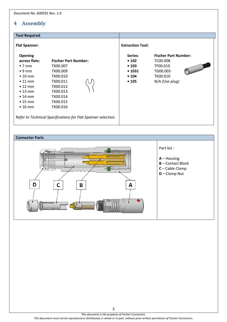## **4 Assembly**

| <b>Tool Required</b>                                                                                                                                                                                     |                                                                                                                                                                                                          |                                                     |                                                                                                 |  |  |
|----------------------------------------------------------------------------------------------------------------------------------------------------------------------------------------------------------|----------------------------------------------------------------------------------------------------------------------------------------------------------------------------------------------------------|-----------------------------------------------------|-------------------------------------------------------------------------------------------------|--|--|
| <b>Flat Spanner:</b>                                                                                                                                                                                     |                                                                                                                                                                                                          |                                                     | <b>Extraction Tool:</b>                                                                         |  |  |
| <b>Opening</b><br>across flats:<br>$\bullet$ 7 mm<br>$\bullet$ 9 mm<br>$\bullet$ 10 mm<br>$\bullet$ 11 mm<br>$\bullet$ 12 mm<br>$\bullet$ 13 mm<br>$\bullet$ 14 mm<br>$\bullet$ 15 mm<br>$\bullet$ 16 mm | <b>Fischer Part Number:</b><br>TX00.007<br>TX00.009<br>TX00.010<br>TX00.011<br>TX00.012<br>TX00.013<br>TX00.014<br>TX00.015<br>TX00.016<br>Refer to Technical Specifications for Flat Spanner selection. | Series:<br>•102<br>• 103<br>• 1031<br>• 104<br>•105 | <b>Fischer Part Number:</b><br>TC00.008<br>TF00.010<br>TG00.003<br>TK00.010<br>$N/A$ (Use plug) |  |  |